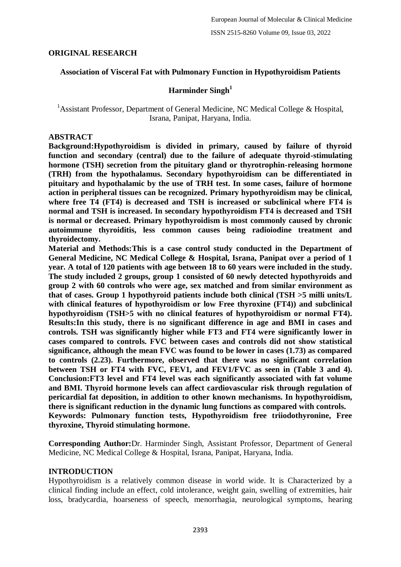## **ORIGINAL RESEARCH**

## **Association of Visceral Fat with Pulmonary Function in Hypothyroidism Patients**

## **Harminder Singh<sup>1</sup>**

<sup>1</sup> Assistant Professor, Department of General Medicine, NC Medical College & Hospital, Israna, Panipat, Haryana, India.

### **ABSTRACT**

**Background:Hypothyroidism is divided in primary, caused by failure of thyroid function and secondary (central) due to the failure of adequate thyroid-stimulating hormone (TSH) secretion from the pituitary gland or thyrotrophin-releasing hormone (TRH) from the hypothalamus. Secondary hypothyroidism can be differentiated in pituitary and hypothalamic by the use of TRH test. In some cases, failure of hormone action in peripheral tissues can be recognized. Primary hypothyroidism may be clinical, where free T4 (FT4) is decreased and TSH is increased or subclinical where FT4 is normal and TSH is increased. In secondary hypothyroidism FT4 is decreased and TSH is normal or decreased. Primary hypothyroidism is most commonly caused by chronic autoimmune thyroiditis, less common causes being radioiodine treatment and thyroidectomy.** 

**Material and Methods:This is a case control study conducted in the Department of General Medicine, NC Medical College & Hospital, Israna, Panipat over a period of 1 year. A total of 120 patients with age between 18 to 60 years were included in the study. The study included 2 groups, group 1 consisted of 60 newly detected hypothyroids and group 2 with 60 controls who were age, sex matched and from similar environment as that of cases. Group 1 hypothyroid patients include both clinical (TSH >5 milli units/L with clinical features of hypothyroidism or low Free thyroxine (FT4)) and subclinical hypothyroidism (TSH>5 with no clinical features of hypothyroidism or normal FT4). Results:In this study, there is no significant difference in age and BMI in cases and controls. TSH was significantly higher while FT3 and FT4 were significantly lower in cases compared to controls. FVC between cases and controls did not show statistical significance, although the mean FVC was found to be lower in cases (1.73) as compared to controls (2.23). Furthermore, observed that there was no significant correlation between TSH or FT4 with FVC, FEV1, and FEV1/FVC as seen in (Table 3 and 4). Conclusion:FT3 level and FT4 level was each significantly associated with fat volume and BMI. Thyroid hormone levels can affect cardiovascular risk through regulation of pericardial fat deposition, in addition to other known mechanisms. In hypothyroidism, there is significant reduction in the dynamic lung functions as compared with controls. Keywords: Pulmonary function tests, Hypothyroidism free triiodothyronine, Free thyroxine, Thyroid stimulating hormone.**

**Corresponding Author:**Dr. Harminder Singh, Assistant Professor, Department of General Medicine, NC Medical College & Hospital, Israna, Panipat, Haryana, India.

### **INTRODUCTION**

Hypothyroidism is a relatively common disease in world wide. It is Characterized by a clinical finding include an effect, cold intolerance, weight gain, swelling of extremities, hair loss, bradycardia, hoarseness of speech, menorrhagia, neurological symptoms, hearing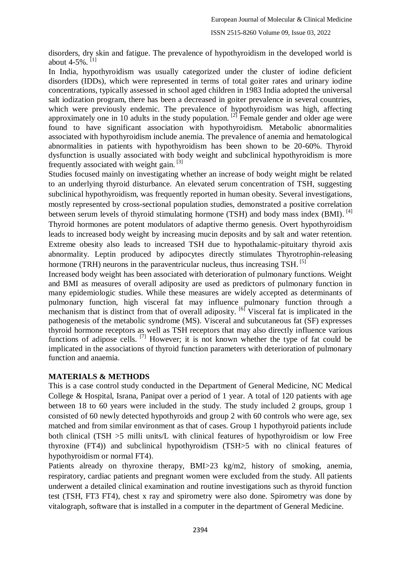disorders, dry skin and fatigue. The prevalence of hypothyroidism in the developed world is about 4-5%.<sup>[1]</sup>

In India, hypothyroidism was usually categorized under the cluster of iodine deficient disorders (IDDs), which were represented in terms of total goiter rates and urinary iodine concentrations, typically assessed in school aged children in 1983 India adopted the universal salt iodization program, there has been a decreased in goiter prevalence in several countries, which were previously endemic. The prevalence of hypothyroidism was high, affecting approximately one in 10 adults in the study population. <sup>[2]</sup> Female gender and older age were found to have significant association with hypothyroidism. Metabolic abnormalities associated with hypothyroidism include anemia. The prevalence of anemia and hematological abnormalities in patients with hypothyroidism has been shown to be 20-60%. Thyroid dysfunction is usually associated with body weight and subclinical hypothyroidism is more frequently associated with weight gain.<sup>[3]</sup>

Studies focused mainly on investigating whether an increase of body weight might be related to an underlying thyroid disturbance. An elevated serum concentration of TSH, suggesting subclinical hypothyroidism, was frequently reported in human obesity. Several investigations, mostly represented by cross-sectional population studies, demonstrated a positive correlation between serum levels of thyroid stimulating hormone (TSH) and body mass index (BMI).<sup>[4]</sup> Thyroid hormones are potent modulators of adaptive thermo genesis. Overt hypothyroidism leads to increased body weight by increasing mucin deposits and by salt and water retention. Extreme obesity also leads to increased TSH due to hypothalamic-pituitary thyroid axis abnormality. Leptin produced by adipocytes directly stimulates Thyrotrophin-releasing hormone (TRH) neurons in the paraventricular nucleus, thus increasing TSH.<sup>[5]</sup>

Increased body weight has been associated with deterioration of pulmonary functions. Weight and BMI as measures of overall adiposity are used as predictors of pulmonary function in many epidemiologic studies. While these measures are widely accepted as determinants of pulmonary function, high visceral fat may influence pulmonary function through a mechanism that is distinct from that of overall adiposity.  $[6]$  Visceral fat is implicated in the pathogenesis of the metabolic syndrome (MS). Visceral and subcutaneous fat (SF) expresses thyroid hormone receptors as well as TSH receptors that may also directly influence various functions of adipose cells.<sup>[7]</sup> However; it is not known whether the type of fat could be implicated in the associations of thyroid function parameters with deterioration of pulmonary function and anaemia.

# **MATERIALS & METHODS**

This is a case control study conducted in the Department of General Medicine, NC Medical College & Hospital, Israna, Panipat over a period of 1 year. A total of 120 patients with age between 18 to 60 years were included in the study. The study included 2 groups, group 1 consisted of 60 newly detected hypothyroids and group 2 with 60 controls who were age, sex matched and from similar environment as that of cases. Group 1 hypothyroid patients include both clinical (TSH >5 milli units/L with clinical features of hypothyroidism or low Free thyroxine (FT4)) and subclinical hypothyroidism (TSH>5 with no clinical features of hypothyroidism or normal FT4).

Patients already on thyroxine therapy, BMI>23 kg/m2, history of smoking, anemia, respiratory, cardiac patients and pregnant women were excluded from the study. All patients underwent a detailed clinical examination and routine investigations such as thyroid function test (TSH, FT3 FT4), chest x ray and spirometry were also done. Spirometry was done by vitalograph, software that is installed in a computer in the department of General Medicine.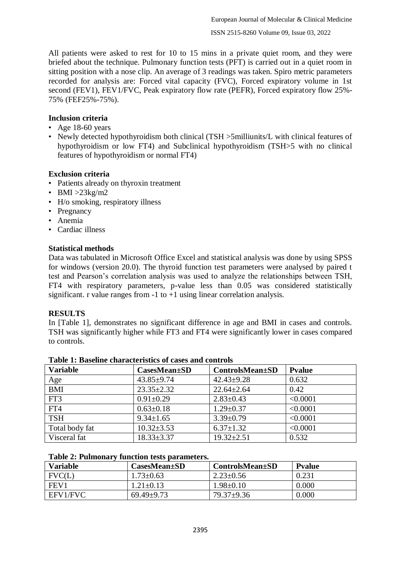All patients were asked to rest for 10 to 15 mins in a private quiet room, and they were briefed about the technique. Pulmonary function tests (PFT) is carried out in a quiet room in sitting position with a nose clip. An average of 3 readings was taken. Spiro metric parameters recorded for analysis are: Forced vital capacity (FVC), Forced expiratory volume in 1st second (FEV1), FEV1/FVC, Peak expiratory flow rate (PEFR), Forced expiratory flow 25%- 75% (FEF25%-75%).

# **Inclusion criteria**

- Age 18-60 years
- Newly detected hypothyroidism both clinical (TSH > 5milliunits/L with clinical features of hypothyroidism or low FT4) and Subclinical hypothyroidism (TSH>5 with no clinical features of hypothyroidism or normal FT4)

## **Exclusion criteria**

- Patients already on thyroxin treatment
- BMI  $>23$ kg/m2
- H/o smoking, respiratory illness
- Pregnancy
- Anemia
- Cardiac illness

## **Statistical methods**

Data was tabulated in Microsoft Office Excel and statistical analysis was done by using SPSS for windows (version 20.0). The thyroid function test parameters were analysed by paired t test and Pearson's correlation analysis was used to analyze the relationships between TSH, FT4 with respiratory parameters, p-value less than 0.05 was considered statistically significant. r value ranges from  $-1$  to  $+1$  using linear correlation analysis.

### **RESULTS**

In [Table 1], demonstrates no significant difference in age and BMI in cases and controls. TSH was significantly higher while FT3 and FT4 were significantly lower in cases compared to controls.

| <b>Variable</b> | <b>CasesMean</b> ±SD | <b>ControlsMean</b> ±SD | <b>Pyalue</b> |
|-----------------|----------------------|-------------------------|---------------|
| Age             | $43.85 + 9.74$       | $42.43 \pm 9.28$        | 0.632         |
| <b>BMI</b>      | $23.35 \pm 2.32$     | $22.64 \pm 2.64$        | 0.42          |
| FT3             | $0.91 \pm 0.29$      | $2.83 \pm 0.43$         | < 0.0001      |
| FT4             | $0.63 \pm 0.18$      | $1.29 \pm 0.37$         | < 0.0001      |
| <b>TSH</b>      | $9.34 \pm 1.65$      | $3.39 \pm 0.79$         | < 0.0001      |
| Total body fat  | $10.32 \pm 3.53$     | $6.37 \pm 1.32$         | < 0.0001      |
| Visceral fat    | $18.33 \pm 3.37$     | $19.32 \pm 2.51$        | 0.532         |

|  |  | Table 1: Baseline characteristics of cases and controls |  |  |  |
|--|--|---------------------------------------------------------|--|--|--|
|--|--|---------------------------------------------------------|--|--|--|

### **Table 2: Pulmonary function tests parameters.**

| <b>Variable</b>  | $\text{CasesMean}\text{+SD}$ | ControlsMean+SD | <b>P</b> value |
|------------------|------------------------------|-----------------|----------------|
| FVC(L)           | $1.73 \pm 0.63$              | $2.23 \pm 0.56$ | 0.231          |
| FEV <sub>1</sub> | $1.21 \pm 0.13$              | $1.98 \pm 0.10$ | 0.000          |
| EFV1/FVC         | $69.49 \pm 9.73$             | $79.37+9.36$    | 0.000          |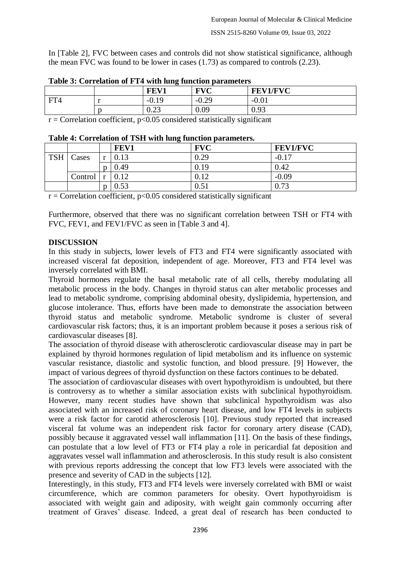In [Table 2], FVC between cases and controls did not show statistical significance, although the mean FVC was found to be lower in cases (1.73) as compared to controls (2.23).

|                         |                                    | FEV1                     | <b>FVC</b>    | <b>FEV1/FVC</b> |
|-------------------------|------------------------------------|--------------------------|---------------|-----------------|
| FT4                     |                                    | $-0.1$                   | $-0.29$       | $-0.01$         |
|                         |                                    | $\Omega$<br>$v.\Delta J$ | 0.09          | 0.93            |
| $\sim$<br>$\sim$ $\sim$ | $\sim$ $\sim$ $\sim$ $\sim$ $\sim$ | .                        | $\cdots$<br>. |                 |

**Table 3: Correlation of FT4 with lung function parameters**

 $r =$  Correlation coefficient,  $p < 0.05$  considered statistically significant

| Table 4. Correlation of TSH with lung function parameters. |         |  |      |            |                 |
|------------------------------------------------------------|---------|--|------|------------|-----------------|
|                                                            |         |  | FEV1 | <b>FVC</b> | <b>FEV1/FVC</b> |
| <b>TSH</b>                                                 | Cases   |  | 0.13 | 0.29       | $-0.17$         |
|                                                            |         |  | 0.49 | 0.19       | 0.42            |
|                                                            | Control |  | 0.12 | 0.12       | $-0.09$         |
|                                                            |         |  |      | $0.51\,$   | 0.73            |

**Table 4: Correlation of TSH with lung function parameters.**

 $r =$ Correlation coefficient, p<0.05 considered statistically significant

Furthermore, observed that there was no significant correlation between TSH or FT4 with FVC, FEV1, and FEV1/FVC as seen in [Table 3 and 4].

# **DISCUSSION**

In this study in subjects, lower levels of FT3 and FT4 were significantly associated with increased visceral fat deposition, independent of age. Moreover, FT3 and FT4 level was inversely correlated with BMI.

Thyroid hormones regulate the basal metabolic rate of all cells, thereby modulating all metabolic process in the body. Changes in thyroid status can alter metabolic processes and lead to metabolic syndrome, comprising abdominal obesity, dyslipidemia, hypertension, and glucose intolerance. Thus, efforts have been made to demonstrate the association between thyroid status and metabolic syndrome. Metabolic syndrome is cluster of several cardiovascular risk factors; thus, it is an important problem because it poses a serious risk of cardiovascular diseases [8].

The association of thyroid disease with atherosclerotic cardiovascular disease may in part be explained by thyroid hormones regulation of lipid metabolism and its influence on systemic vascular resistance, diastolic and systolic function, and blood pressure. [9] However, the impact of various degrees of thyroid dysfunction on these factors continues to be debated.

The association of cardiovascular diseases with overt hypothyroidism is undoubted, but there is controversy as to whether a similar association exists with subclinical hypothyroidism. However, many recent studies have shown that subclinical hypothyroidism was also associated with an increased risk of coronary heart disease, and low FT4 levels in subjects were a risk factor for carotid atherosclerosis [10]. Previous study reported that increased visceral fat volume was an independent risk factor for coronary artery disease (CAD), possibly because it aggravated vessel wall inflammation [11]. On the basis of these findings, can postulate that a low level of FT3 or FT4 play a role in pericardial fat deposition and aggravates vessel wall inflammation and atherosclerosis. In this study result is also consistent with previous reports addressing the concept that low FT3 levels were associated with the presence and severity of CAD in the subjects [12].

Interestingly, in this study, FT3 and FT4 levels were inversely correlated with BMI or waist circumference, which are common parameters for obesity. Overt hypothyroidism is associated with weight gain and adiposity, with weight gain commonly occurring after treatment of Graves' disease. Indeed, a great deal of research has been conducted to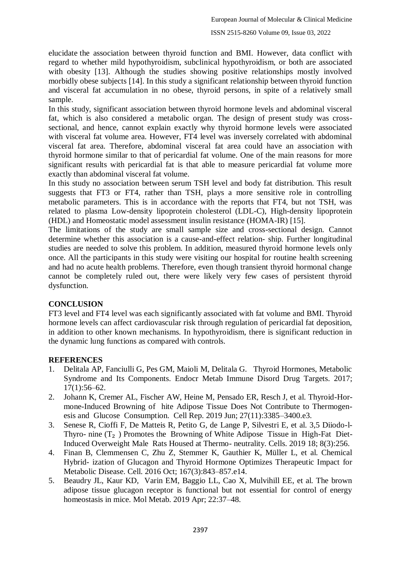elucidate the association between thyroid function and BMI. However, data conflict with regard to whether mild hypothyroidism, subclinical hypothyroidism, or both are associated with obesity [13]. Although the studies showing positive relationships mostly involved morbidly obese subjects [14]. In this study a significant relationship between thyroid function and visceral fat accumulation in no obese, thyroid persons, in spite of a relatively small sample.

In this study, significant association between thyroid hormone levels and abdominal visceral fat, which is also considered a metabolic organ. The design of present study was crosssectional, and hence, cannot explain exactly why thyroid hormone levels were associated with visceral fat volume area. However, FT4 level was inversely correlated with abdominal visceral fat area. Therefore, abdominal visceral fat area could have an association with thyroid hormone similar to that of pericardial fat volume. One of the main reasons for more significant results with pericardial fat is that able to measure pericardial fat volume more exactly than abdominal visceral fat volume.

In this study no association between serum TSH level and body fat distribution. This result suggests that FT3 or FT4, rather than TSH, plays a more sensitive role in controlling metabolic parameters. This is in accordance with the reports that FT4, but not TSH, was related to plasma Low-density lipoprotein cholesterol (LDL-C), High-density lipoprotein (HDL) and Homeostatic model assessment insulin resistance (HOMA-IR) [15].

The limitations of the study are small sample size and cross-sectional design. Cannot determine whether this association is a cause-and-effect relation- ship. Further longitudinal studies are needed to solve this problem. In addition, measured thyroid hormone levels only once. All the participants in this study were visiting our hospital for routine health screening and had no acute health problems. Therefore, even though transient thyroid hormonal change cannot be completely ruled out, there were likely very few cases of persistent thyroid dysfunction.

# **CONCLUSION**

FT3 level and FT4 level was each significantly associated with fat volume and BMI. Thyroid hormone levels can affect cardiovascular risk through regulation of pericardial fat deposition, in addition to other known mechanisms. In hypothyroidism, there is significant reduction in the dynamic lung functions as compared with controls.

# **REFERENCES**

- 1. Delitala AP, Fanciulli G, Pes GM, Maioli M, Delitala G. Thyroid Hormones, Metabolic Syndrome and Its Components. Endocr Metab Immune Disord Drug Targets. 2017; 17(1):56–62.
- 2. Johann K, Cremer AL, Fischer AW, Heine M, Pensado ER, Resch J, et al. Thyroid-Hormone-Induced Browning of hite Adipose Tissue Does Not Contribute to Thermogenesis and Glucose Consumption. Cell Rep. 2019 Jun; 27(11):3385–3400.e3.
- 3. Senese R, Cioffi F, De Matteis R, Petito G, de Lange P, Silvestri E, et al. 3,5 Diiodo-l-Thyro- nine  $(T_2)$  Promotes the Browning of White Adipose Tissue in High-Fat Diet-Induced Overweight Male Rats Housed at Thermo- neutrality. Cells. 2019 18; 8(3):256.
- 4. Finan B, Clemmensen C, Zhu Z, Stemmer K, Gauthier K, Müller L, et al. Chemical Hybrid- ization of Glucagon and Thyroid Hormone Optimizes Therapeutic Impact for Metabolic Disease. Cell. 2016 Oct; 167(3):843–857.e14.
- 5. Beaudry JL, Kaur KD, Varin EM, Baggio LL, Cao X, Mulvihill EE, et al. The brown adipose tissue glucagon receptor is functional but not essential for control of energy homeostasis in mice. Mol Metab. 2019 Apr; 22:37–48.